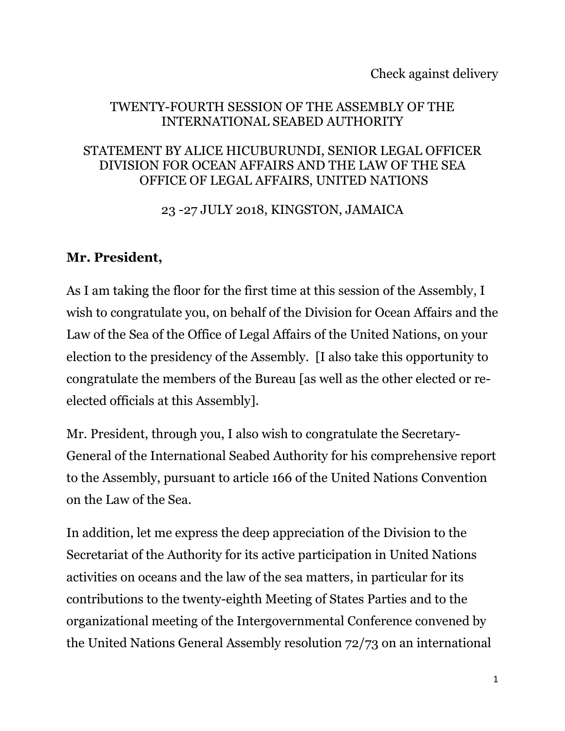Check against delivery

#### TWENTY-FOURTH SESSION OF THE ASSEMBLY OF THE INTERNATIONAL SEABED AUTHORITY

#### STATEMENT BY ALICE HICUBURUNDI, SENIOR LEGAL OFFICER DIVISION FOR OCEAN AFFAIRS AND THE LAW OF THE SEA OFFICE OF LEGAL AFFAIRS, UNITED NATIONS

23 -27 JULY 2018, KINGSTON, JAMAICA

#### **Mr. President,**

As I am taking the floor for the first time at this session of the Assembly, I wish to congratulate you, on behalf of the Division for Ocean Affairs and the Law of the Sea of the Office of Legal Affairs of the United Nations, on your election to the presidency of the Assembly. [I also take this opportunity to congratulate the members of the Bureau [as well as the other elected or reelected officials at this Assembly].

Mr. President, through you, I also wish to congratulate the Secretary-General of the International Seabed Authority for his comprehensive report to the Assembly, pursuant to article 166 of the United Nations Convention on the Law of the Sea.

In addition, let me express the deep appreciation of the Division to the Secretariat of the Authority for its active participation in United Nations activities on oceans and the law of the sea matters, in particular for its contributions to the twenty-eighth Meeting of States Parties and to the organizational meeting of the Intergovernmental Conference convened by the United Nations General Assembly resolution 72/73 on an international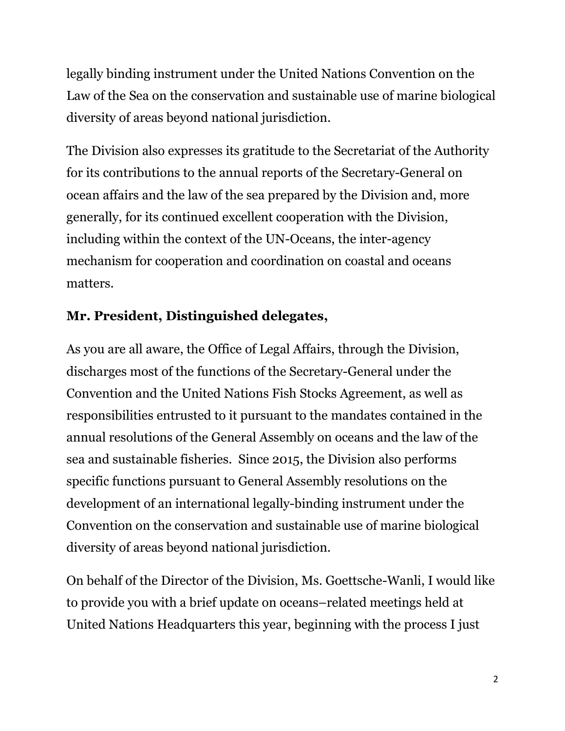legally binding instrument under the United Nations Convention on the Law of the Sea on the conservation and sustainable use of marine biological diversity of areas beyond national jurisdiction.

The Division also expresses its gratitude to the Secretariat of the Authority for its contributions to the annual reports of the Secretary-General on ocean affairs and the law of the sea prepared by the Division and, more generally, for its continued excellent cooperation with the Division, including within the context of the UN-Oceans, the inter-agency mechanism for cooperation and coordination on coastal and oceans matters.

# **Mr. President, Distinguished delegates,**

As you are all aware, the Office of Legal Affairs, through the Division, discharges most of the functions of the Secretary-General under the Convention and the United Nations Fish Stocks Agreement, as well as responsibilities entrusted to it pursuant to the mandates contained in the annual resolutions of the General Assembly on oceans and the law of the sea and sustainable fisheries. Since 2015, the Division also performs specific functions pursuant to General Assembly resolutions on the development of an international legally-binding instrument under the Convention on the conservation and sustainable use of marine biological diversity of areas beyond national jurisdiction.

On behalf of the Director of the Division, Ms. Goettsche-Wanli, I would like to provide you with a brief update on oceans–related meetings held at United Nations Headquarters this year, beginning with the process I just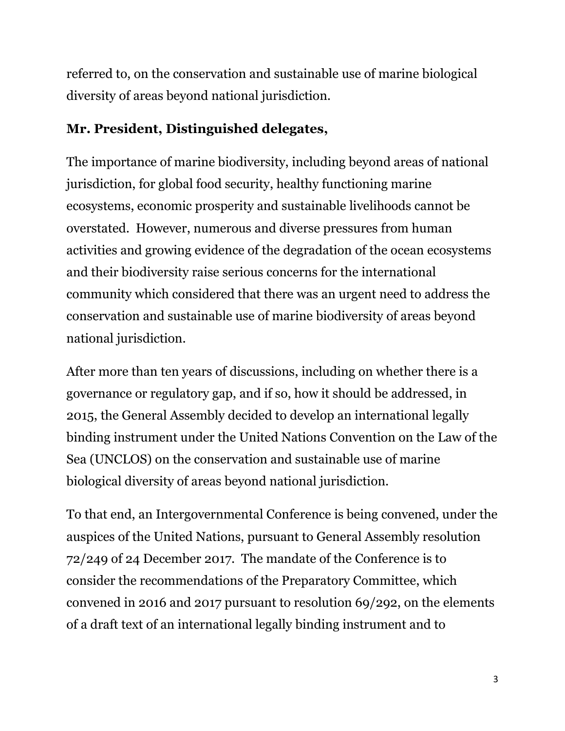referred to, on the conservation and sustainable use of marine biological diversity of areas beyond national jurisdiction.

## **Mr. President, Distinguished delegates,**

The importance of marine biodiversity, including beyond areas of national jurisdiction, for global food security, healthy functioning marine ecosystems, economic prosperity and sustainable livelihoods cannot be overstated. However, numerous and diverse pressures from human activities and growing evidence of the degradation of the ocean ecosystems and their biodiversity raise serious concerns for the international community which considered that there was an urgent need to address the conservation and sustainable use of marine biodiversity of areas beyond national jurisdiction.

After more than ten years of discussions, including on whether there is a governance or regulatory gap, and if so, how it should be addressed, in 2015, the General Assembly decided to develop an international legally binding instrument under the United Nations Convention on the Law of the Sea (UNCLOS) on the conservation and sustainable use of marine biological diversity of areas beyond national jurisdiction.

To that end, an Intergovernmental Conference is being convened, under the auspices of the United Nations, pursuant to General Assembly resolution 72/249 of 24 December 2017. The mandate of the Conference is to consider the recommendations of the Preparatory Committee, which convened in 2016 and 2017 pursuant to resolution 69/292, on the elements of a draft text of an international legally binding instrument and to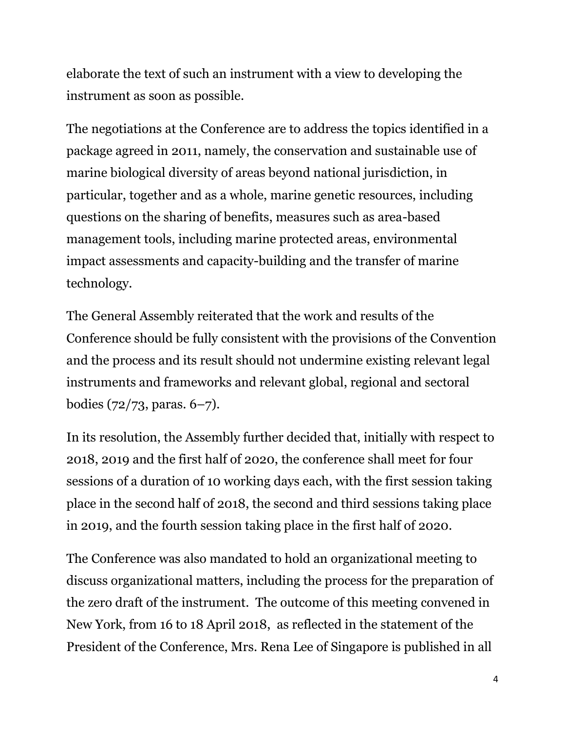elaborate the text of such an instrument with a view to developing the instrument as soon as possible.

The negotiations at the Conference are to address the topics identified in a package agreed in 2011, namely, the conservation and sustainable use of marine biological diversity of areas beyond national jurisdiction, in particular, together and as a whole, marine genetic resources, including questions on the sharing of benefits, measures such as area-based management tools, including marine protected areas, environmental impact assessments and capacity-building and the transfer of marine technology.

The General Assembly reiterated that the work and results of the Conference should be fully consistent with the provisions of the Convention and the process and its result should not undermine existing relevant legal instruments and frameworks and relevant global, regional and sectoral bodies (72/73, paras. 6–7).

In its resolution, the Assembly further decided that, initially with respect to 2018, 2019 and the first half of 2020, the conference shall meet for four sessions of a duration of 10 working days each, with the first session taking place in the second half of 2018, the second and third sessions taking place in 2019, and the fourth session taking place in the first half of 2020.

The Conference was also mandated to hold an organizational meeting to discuss organizational matters, including the process for the preparation of the zero draft of the instrument. The outcome of this meeting convened in New York, from 16 to 18 April 2018, as reflected in the statement of the President of the Conference, Mrs. Rena Lee of Singapore is published in all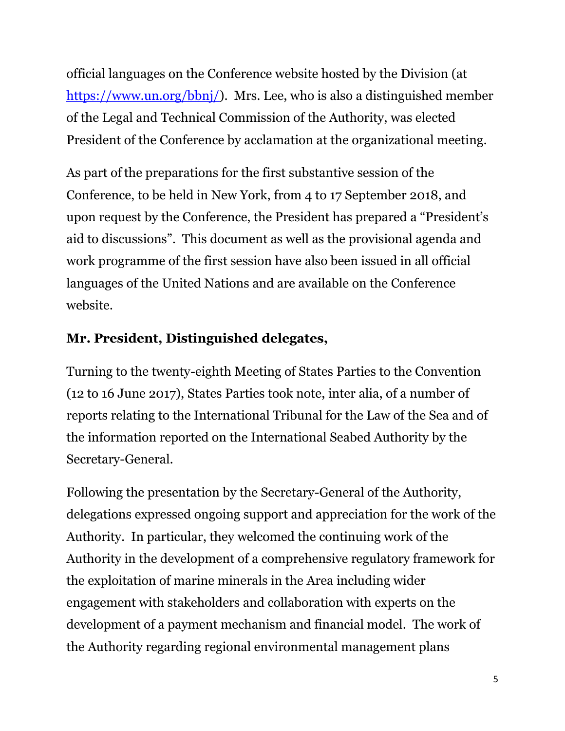official languages on the Conference website hosted by the Division (at [https://www.un.org/bbnj/\)](https://www.un.org/bbnj/). Mrs. Lee, who is also a distinguished member of the Legal and Technical Commission of the Authority, was elected President of the Conference by acclamation at the organizational meeting.

As part of the preparations for the first substantive session of the Conference, to be held in New York, from 4 to 17 September 2018, and upon request by the Conference, the President has prepared a "President's aid to discussions". This document as well as the provisional agenda and work programme of the first session have also been issued in all official languages of the United Nations and are available on the Conference website.

### **Mr. President, Distinguished delegates,**

Turning to the twenty-eighth Meeting of States Parties to the Convention (12 to 16 June 2017), States Parties took note, inter alia, of a number of reports relating to the International Tribunal for the Law of the Sea and of the information reported on the International Seabed Authority by the Secretary-General.

Following the presentation by the Secretary-General of the Authority, delegations expressed ongoing support and appreciation for the work of the Authority. In particular, they welcomed the continuing work of the Authority in the development of a comprehensive regulatory framework for the exploitation of marine minerals in the Area including wider engagement with stakeholders and collaboration with experts on the development of a payment mechanism and financial model. The work of the Authority regarding regional environmental management plans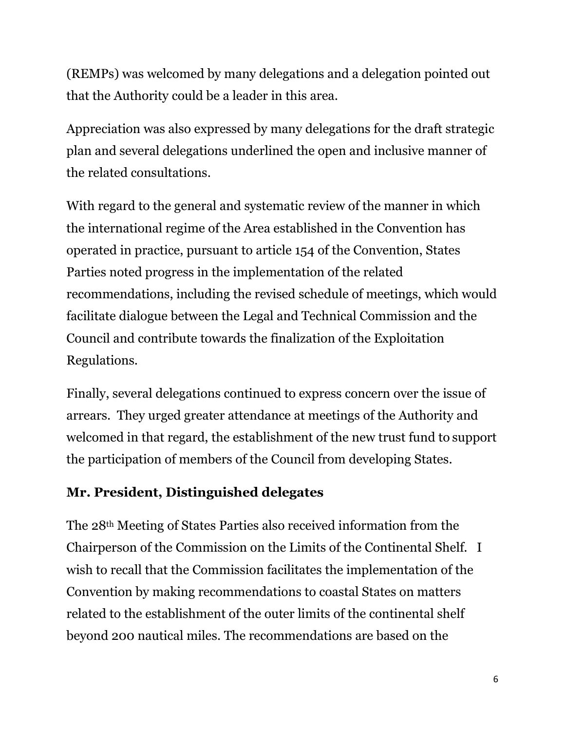(REMPs) was welcomed by many delegations and a delegation pointed out that the Authority could be a leader in this area.

Appreciation was also expressed by many delegations for the draft strategic plan and several delegations underlined the open and inclusive manner of the related consultations.

With regard to the general and systematic review of the manner in which the international regime of the Area established in the Convention has operated in practice, pursuant to article 154 of the Convention, States Parties noted progress in the implementation of the related recommendations, including the revised schedule of meetings, which would facilitate dialogue between the Legal and Technical Commission and the Council and contribute towards the finalization of the Exploitation Regulations.

Finally, several delegations continued to express concern over the issue of arrears. They urged greater attendance at meetings of the Authority and welcomed in that regard, the establishment of the new trust fund to support the participation of members of the Council from developing States.

# **Mr. President, Distinguished delegates**

The 28th Meeting of States Parties also received information from the Chairperson of the Commission on the Limits of the Continental Shelf. I wish to recall that the Commission facilitates the implementation of the Convention by making recommendations to coastal States on matters related to the establishment of the outer limits of the continental shelf beyond 200 nautical miles. The recommendations are based on the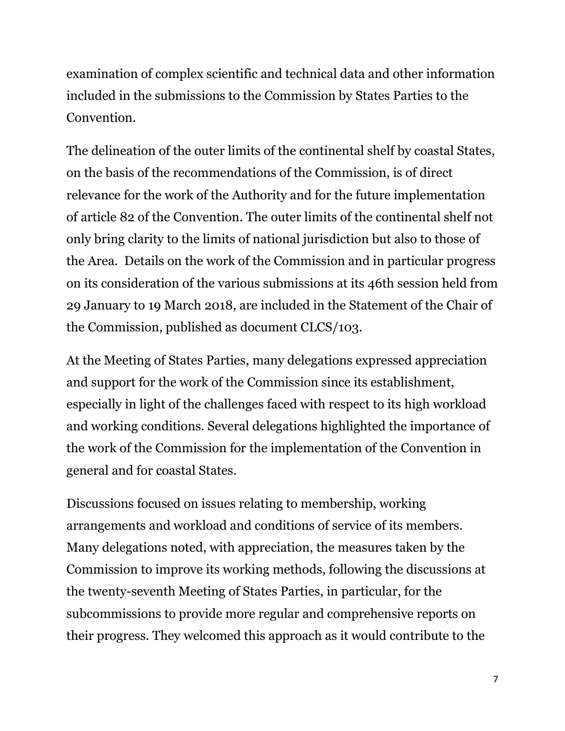examination of complex scientific and technical data and other information included in the submissions to the Commission by States Parties to the Convention.

The delineation of the outer limits of the continental shelf by coastal States, on the basis of the recommendations of the Commission, is of direct relevance for the work of the Authority and for the future implementation of article 82 of the Convention. The outer limits of the continental shelf not only bring clarity to the limits of national jurisdiction but also to those of the Area. Details on the work of the Commission and in particular progress on its consideration of the various submissions at its 46th session held from 29 January to 19 March 2018, are included in the Statement of the Chair of the Commission, published as document CLCS/103.

At the Meeting of States Parties, many delegations expressed appreciation and support for the work of the Commission since its establishment, especially in light of the challenges faced with respect to its high workload and working conditions. Several delegations highlighted the importance of the work of the Commission for the implementation of the Convention in general and for coastal States.

Discussions focused on issues relating to membership, working arrangements and workload and conditions of service of its members. Many delegations noted, with appreciation, the measures taken by the Commission to improve its working methods, following the discussions at the twenty-seventh Meeting of States Parties, in particular, for the subcommissions to provide more regular and comprehensive reports on their progress. They welcomed this approach as it would contribute to the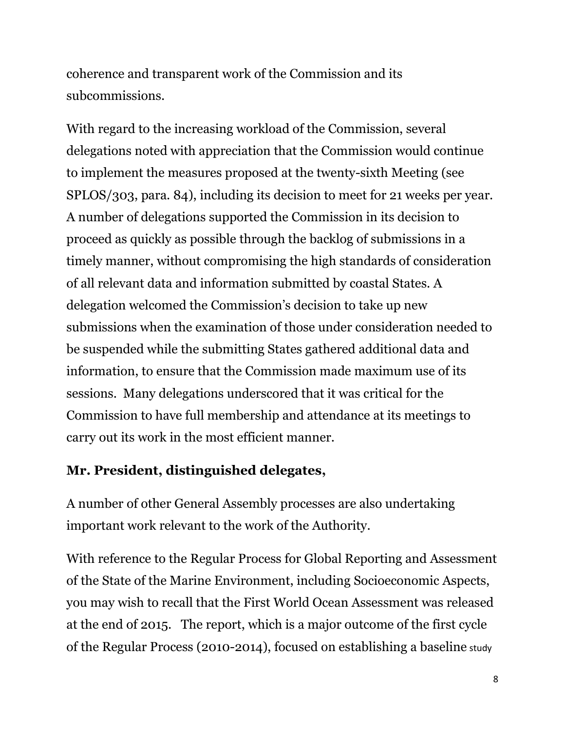coherence and transparent work of the Commission and its subcommissions.

With regard to the increasing workload of the Commission, several delegations noted with appreciation that the Commission would continue to implement the measures proposed at the twenty-sixth Meeting (see SPLOS/303, para. 84), including its decision to meet for 21 weeks per year. A number of delegations supported the Commission in its decision to proceed as quickly as possible through the backlog of submissions in a timely manner, without compromising the high standards of consideration of all relevant data and information submitted by coastal States. A delegation welcomed the Commission's decision to take up new submissions when the examination of those under consideration needed to be suspended while the submitting States gathered additional data and information, to ensure that the Commission made maximum use of its sessions. Many delegations underscored that it was critical for the Commission to have full membership and attendance at its meetings to carry out its work in the most efficient manner.

### **Mr. President, distinguished delegates,**

A number of other General Assembly processes are also undertaking important work relevant to the work of the Authority.

With reference to the Regular Process for Global Reporting and Assessment of the State of the Marine Environment, including Socioeconomic Aspects, you may wish to recall that the First World Ocean Assessment was released at the end of 2015. The report, which is a major outcome of the first cycle of the Regular Process (2010-2014), focused on establishing a baseline study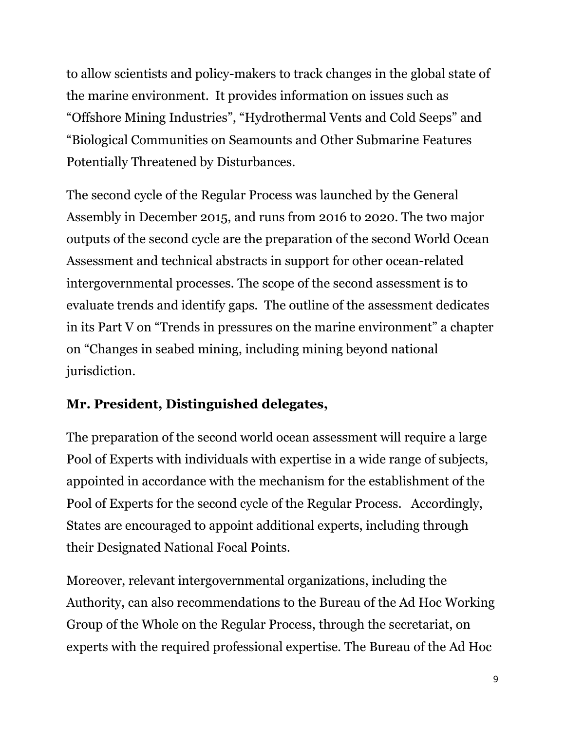to allow scientists and policy-makers to track changes in the global state of the marine environment. It provides information on issues such as "Offshore Mining Industries", "Hydrothermal Vents and Cold Seeps" and "Biological Communities on Seamounts and Other Submarine Features Potentially Threatened by Disturbances.

The second cycle of the Regular Process was launched by the General Assembly in December 2015, and runs from 2016 to 2020. The two major outputs of the second cycle are the preparation of the second World Ocean Assessment and technical abstracts in support for other ocean-related intergovernmental processes. The scope of the second assessment is to evaluate trends and identify gaps. The outline of the assessment dedicates in its Part V on "Trends in pressures on the marine environment" a chapter on "Changes in seabed mining, including mining beyond national jurisdiction.

# **Mr. President, Distinguished delegates,**

The preparation of the second world ocean assessment will require a large Pool of Experts with individuals with expertise in a wide range of subjects, appointed in accordance with the mechanism for the establishment of the Pool of Experts for the second cycle of the Regular Process. Accordingly, States are encouraged to appoint additional experts, including through their Designated National Focal Points.

Moreover, relevant intergovernmental organizations, including the Authority, can also recommendations to the Bureau of the Ad Hoc Working Group of the Whole on the Regular Process, through the secretariat, on experts with the required professional expertise. The Bureau of the Ad Hoc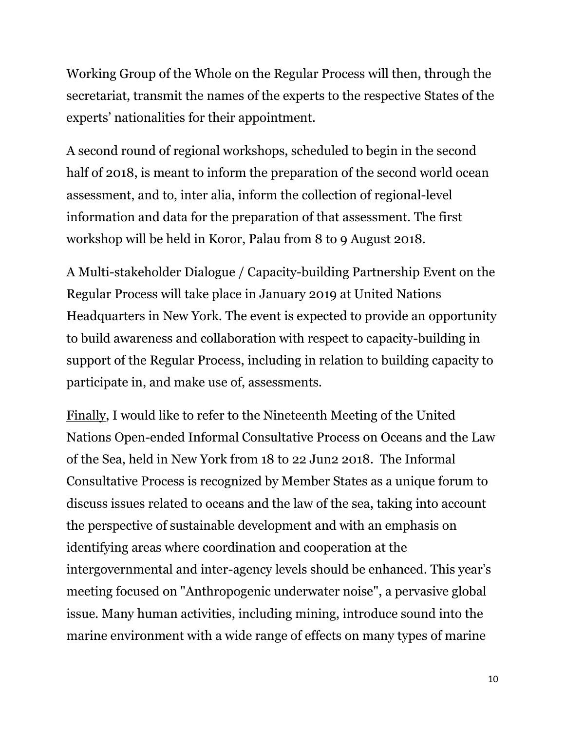Working Group of the Whole on the Regular Process will then, through the secretariat, transmit the names of the experts to the respective States of the experts' nationalities for their appointment.

A second round of regional workshops, scheduled to begin in the second half of 2018, is meant to inform the preparation of the second world ocean assessment, and to, inter alia, inform the collection of regional-level information and data for the preparation of that assessment. The first workshop will be held in Koror, Palau from 8 to 9 August 2018.

A Multi-stakeholder Dialogue / Capacity-building Partnership Event on the Regular Process will take place in January 2019 at United Nations Headquarters in New York. The event is expected to provide an opportunity to build awareness and collaboration with respect to capacity-building in support of the Regular Process, including in relation to building capacity to participate in, and make use of, assessments.

Finally, I would like to refer to the Nineteenth Meeting of the United Nations Open-ended Informal Consultative Process on Oceans and the Law of the Sea, held in New York from 18 to 22 Jun2 2018. The Informal Consultative Process is recognized by Member States as a unique forum to discuss issues related to oceans and the law of the sea, taking into account the perspective of sustainable development and with an emphasis on identifying areas where coordination and cooperation at the intergovernmental and inter-agency levels should be enhanced. This year's meeting focused on "Anthropogenic underwater noise", a pervasive global issue. Many human activities, including mining, introduce sound into the marine environment with a wide range of effects on many types of marine